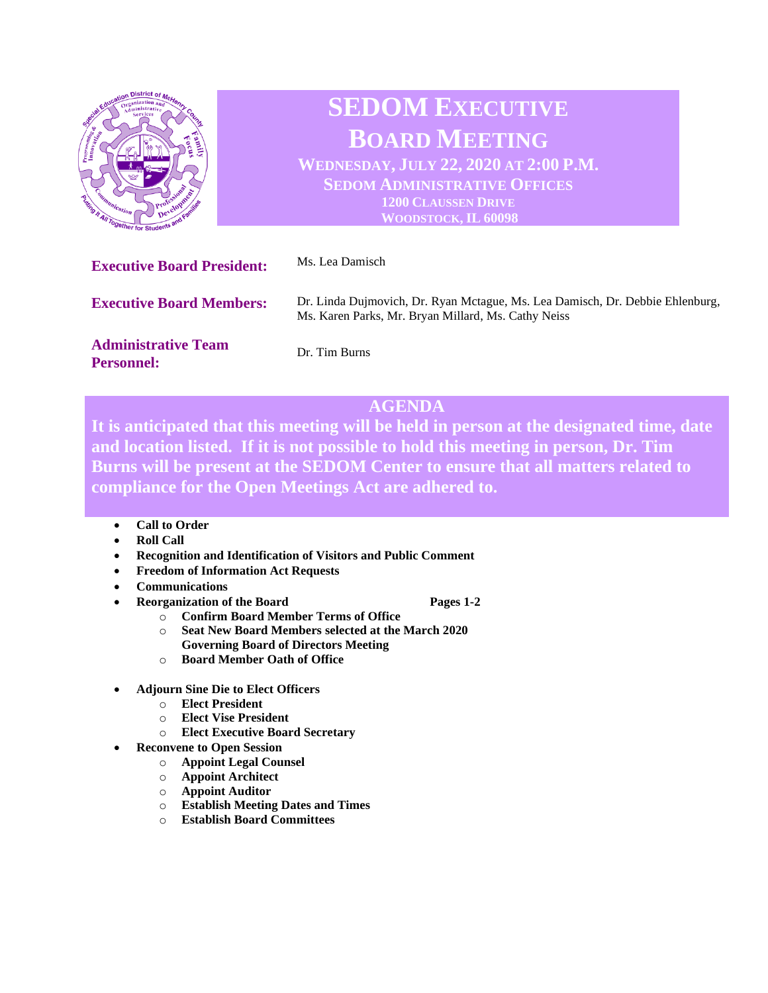

# **SEDOM EXECUTIVE BOARD MEETING WEDNESDAY, JULY 22, 2020 AT 2:00 P.M.**

**SEDOM ADMINISTRATIVE OFFICES 1200 CLAUSSEN DRIVE WOODSTOCK, IL 60098**

| <b>Executive Board President:</b>               | Ms. Lea Damisch                                                                                                                      |
|-------------------------------------------------|--------------------------------------------------------------------------------------------------------------------------------------|
| <b>Executive Board Members:</b>                 | Dr. Linda Dujmovich, Dr. Ryan Mctague, Ms. Lea Damisch, Dr. Debbie Ehlenburg,<br>Ms. Karen Parks, Mr. Bryan Millard, Ms. Cathy Neiss |
| <b>Administrative Team</b><br><b>Personnel:</b> | Dr. Tim Burns                                                                                                                        |

## **AGENDA**

**It is anticipated that this meeting will be held in person at the designated time, date and location listed. If it is not possible to hold this meeting in person, Dr. Tim Burns will be present at the SEDOM Center to ensure that all matters related to compliance for the Open Meetings Act are adhered to.** 

- **Call to Order**
- **Roll Call**
- **Recognition and Identification of Visitors and Public Comment**
- **Freedom of Information Act Requests**
- **Communications**
- **Pages 1-2 Pages 1-2**

- o **Confirm Board Member Terms of Office** o **Seat New Board Members selected at the March 2020**
- **Governing Board of Directors Meeting**
- o **Board Member Oath of Office**
- **Adjourn Sine Die to Elect Officers**
	- o **Elect President**
	- o **Elect Vise President**
	- o **Elect Executive Board Secretary**
	- **Reconvene to Open Session**
		- o **Appoint Legal Counsel**
		- o **Appoint Architect**
		- o **Appoint Auditor**
		- o **Establish Meeting Dates and Times**
		- o **Establish Board Committees**